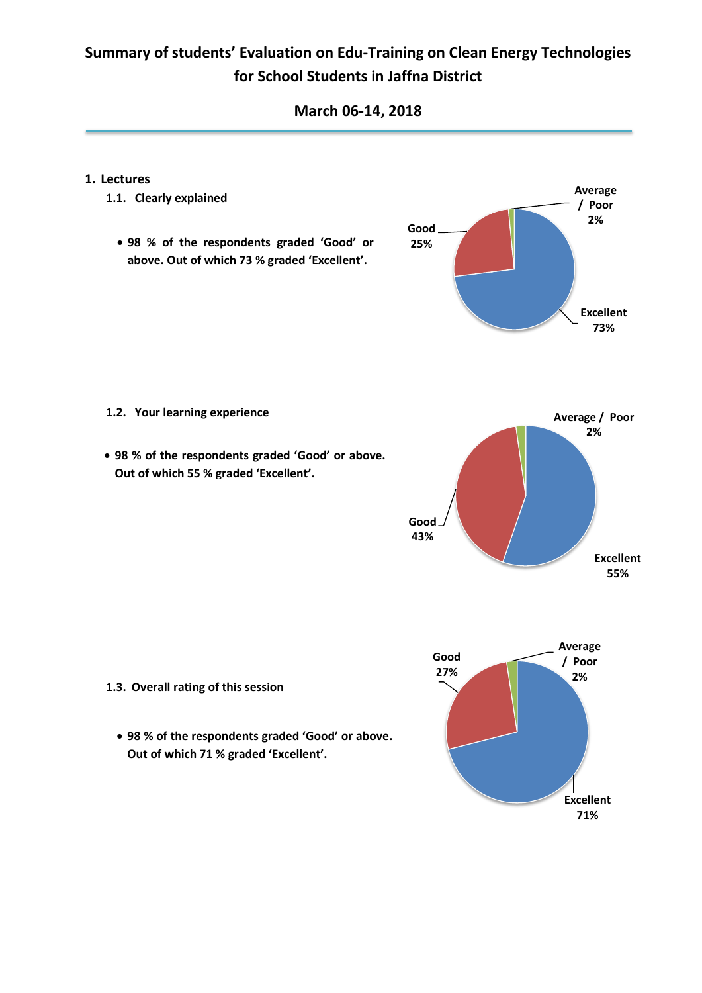### **March 06-14, 2018**

#### **1. Lectures**

- **1.1. Clearly explained**
	- **98 % of the respondents graded 'Good' or above. Out of which 73 % graded 'Excellent'.**



- **1.2. Your learning experience**
- **98 % of the respondents graded 'Good' or above. Out of which 55 % graded 'Excellent'.**





- **1.3. Overall rating of this session**
	- **98 % of the respondents graded 'Good' or above. Out of which 71 % graded 'Excellent'.**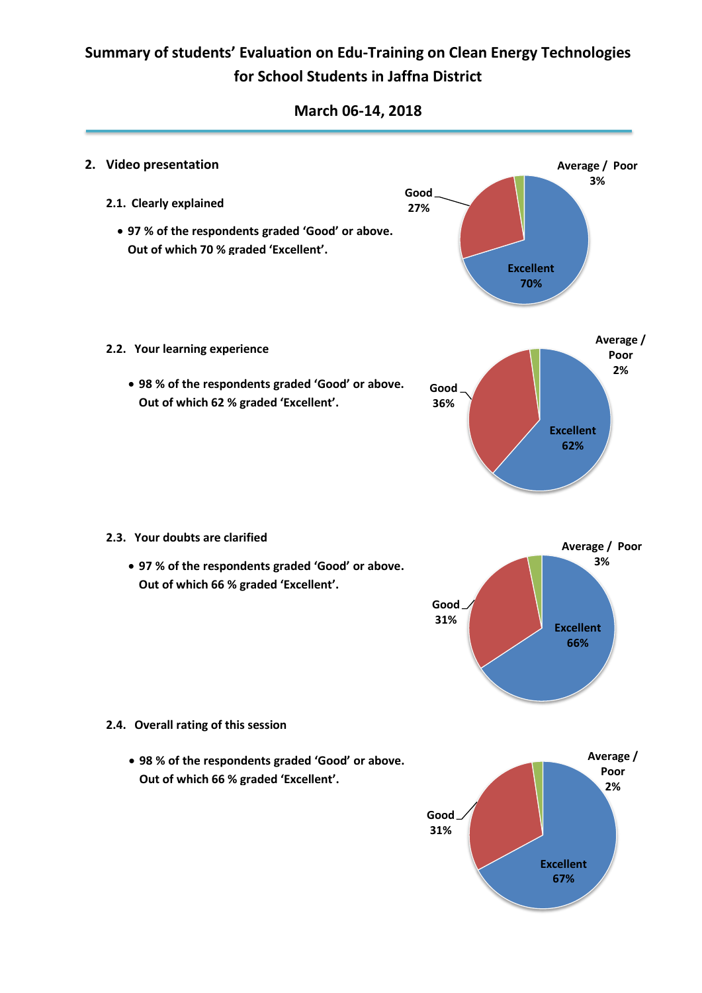### **March 06-14, 2018**

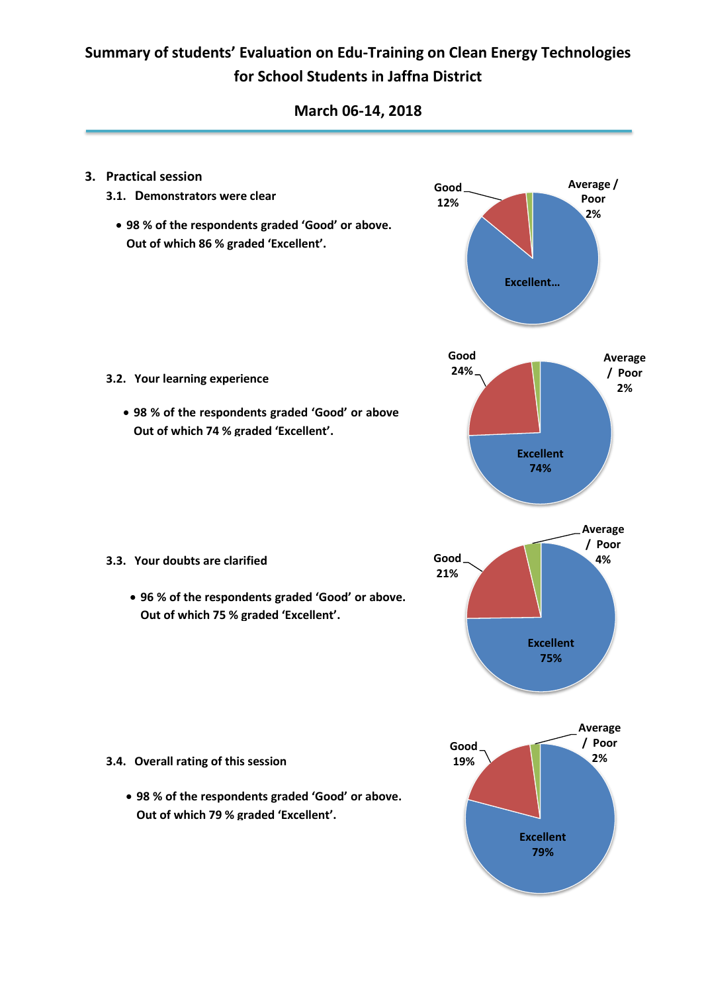### **March 06-14, 2018**

**Good**

- **3. Practical session**
	- **3.1. Demonstrators were clear**
		- **98 % of the respondents graded 'Good' or above. Out of which 86 % graded 'Excellent'.**



**Average /** 



- **3.2. Your learning experience** 
	- **98 % of the respondents graded 'Good' or above Out of which 74 % graded 'Excellent'.**

- **3.3. Your doubts are clarified** 
	- **96 % of the respondents graded 'Good' or above. Out of which 75 % graded 'Excellent'.**

- **3.4. Overall rating of this session**
	- **98 % of the respondents graded 'Good' or above. Out of which 79 % graded 'Excellent'.**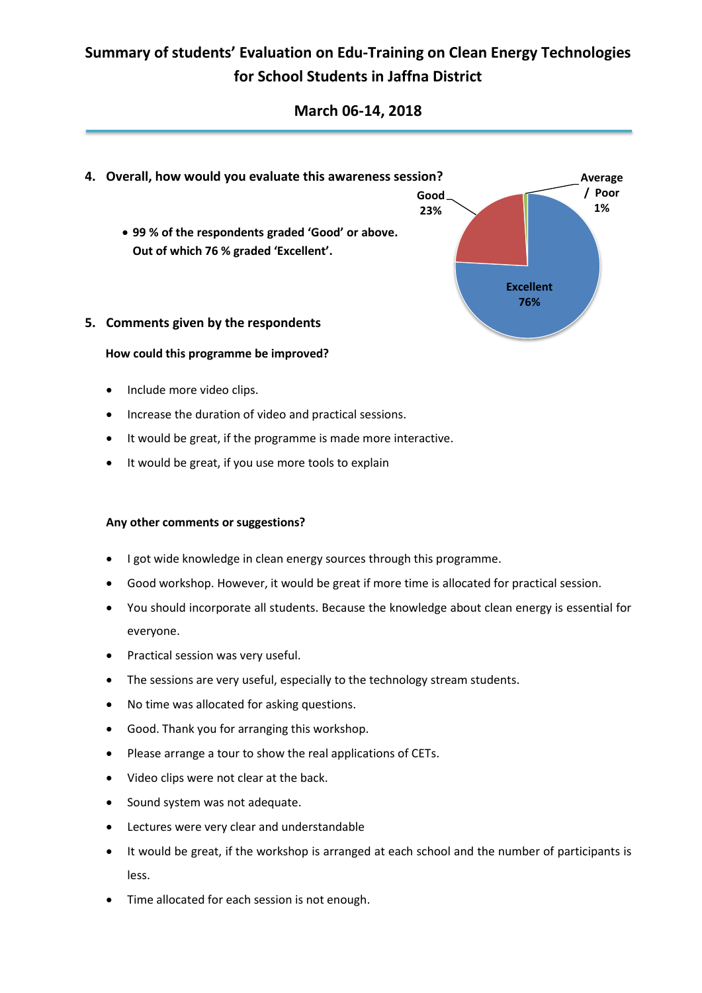### **March 06-14, 2018**



- **How could this programme be improved?**
	- Include more video clips.
	- Increase the duration of video and practical sessions.
	- It would be great, if the programme is made more interactive.
	- It would be great, if you use more tools to explain

#### **Any other comments or suggestions?**

- I got wide knowledge in clean energy sources through this programme.
- Good workshop. However, it would be great if more time is allocated for practical session.
- You should incorporate all students. Because the knowledge about clean energy is essential for everyone.
- Practical session was very useful.
- The sessions are very useful, especially to the technology stream students.
- No time was allocated for asking questions.
- Good. Thank you for arranging this workshop.
- Please arrange a tour to show the real applications of CETs.
- Video clips were not clear at the back.
- Sound system was not adequate.
- Lectures were very clear and understandable
- It would be great, if the workshop is arranged at each school and the number of participants is less.
- Time allocated for each session is not enough.